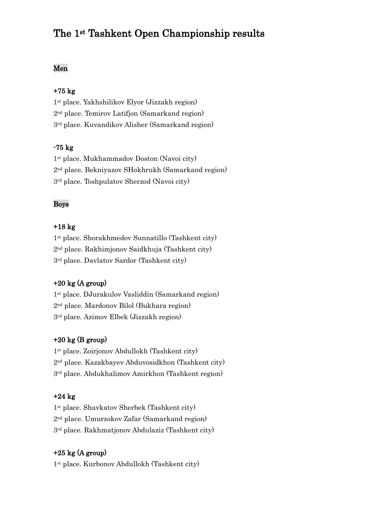# The 1st Tashkent Open Championship results

# Men

#### +75 kg

1st place. Yakhshilikov Elyor (Jizzakh region) 2nd place. Temirov Latifjon (Samarkand region) 3rd place. Kuvandikov Alisher (Samarkand region)

## -75 kg

1st place. Mukhammadov Doston (Navoi city) 2nd place. Bekniyazov SHokhrukh (Samarkand region) 3rd place. Toshpulatov Sherzod (Navoi city)

## Boys

#### +18 kg

1st place. Shorakhmedov Sunnatillo (Tashkent city) 2nd place. Rakhimjonov Saidkhuja (Tashkent city) 3rd place. Davlatov Sardor (Tashkent city)

## $+20 \text{ kg}$  (A group)

1st place. DJurakulov Vasliddin (Samarkand region) 2nd place. Mardonov Bilol (Bukhara region) 3rd place. Azimov Elbek (Jizzakh region)

## $+20$  kg (B group)

1st place. Zoirjonov Abdullokh (Tashkent city) 2nd place. Kazakbayev Abduvosidkhon (Tashkent city) 3rd place. Abdukhalimov Amirkhon (Tashkent region)

#### +24 kg

1st place. Shavkatov Sherbek (Tashkent city) 2nd place. Umurzokov Zafar (Samarkand region) 3rd place. Rakhmatjonov Abdulaziz (Tashkent city)

## $+25$  kg (A group)

1st place. Kurbonov Abdullokh (Tashkent city)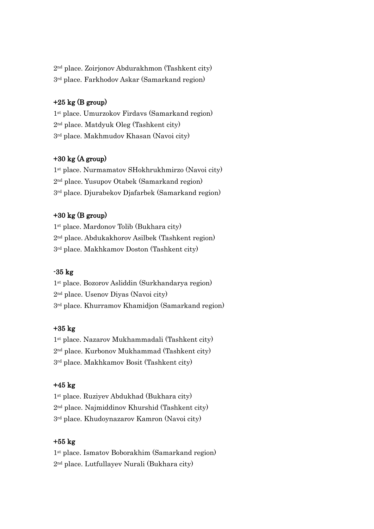2nd place. Zoirjonov Abdurakhmon (Tashkent city) 3rd place. Farkhodov Askar (Samarkand region)

## $+25$  kg (B group)

1st place. Umurzokov Firdavs (Samarkand region) 2nd place. Matdyuk Oleg (Tashkent city) 3rd place. Makhmudov Khasan (Navoi city)

## +30 kg (A group)

1st place. Nurmamatov SHokhrukhmirzo (Navoi city) 2nd place. Yusupov Otabek (Samarkand region) 3rd place. Djurabekov Djafarbek (Samarkand region)

# +30 kg (B group)

1st place. Mardonov Tolib (Bukhara city) 2nd place. Abdukakhorov Asilbek (Tashkent region) 3rd place. Makhkamov Doston (Tashkent city)

#### -35 kg

1st place. Bozorov Asliddin (Surkhandarya region) 2nd place. Usenov Diyas (Navoi city) 3rd place. Khurramov Khamidjon (Samarkand region)

# +35 kg

1st place. Nazarov Mukhammadali (Tashkent city) 2nd place. Kurbonov Mukhammad (Tashkent city) 3rd place. Makhkamov Bosit (Tashkent city)

# +45 kg

1st place. Ruziyev Abdukhad (Bukhara city) 2nd place. Najmiddinov Khurshid (Tashkent city) 3rd place. Khudoynazarov Kamron (Navoi city)

## +55 kg

1st place. Ismatov Boborakhim (Samarkand region) 2nd place. Lutfullayev Nurali (Bukhara city)